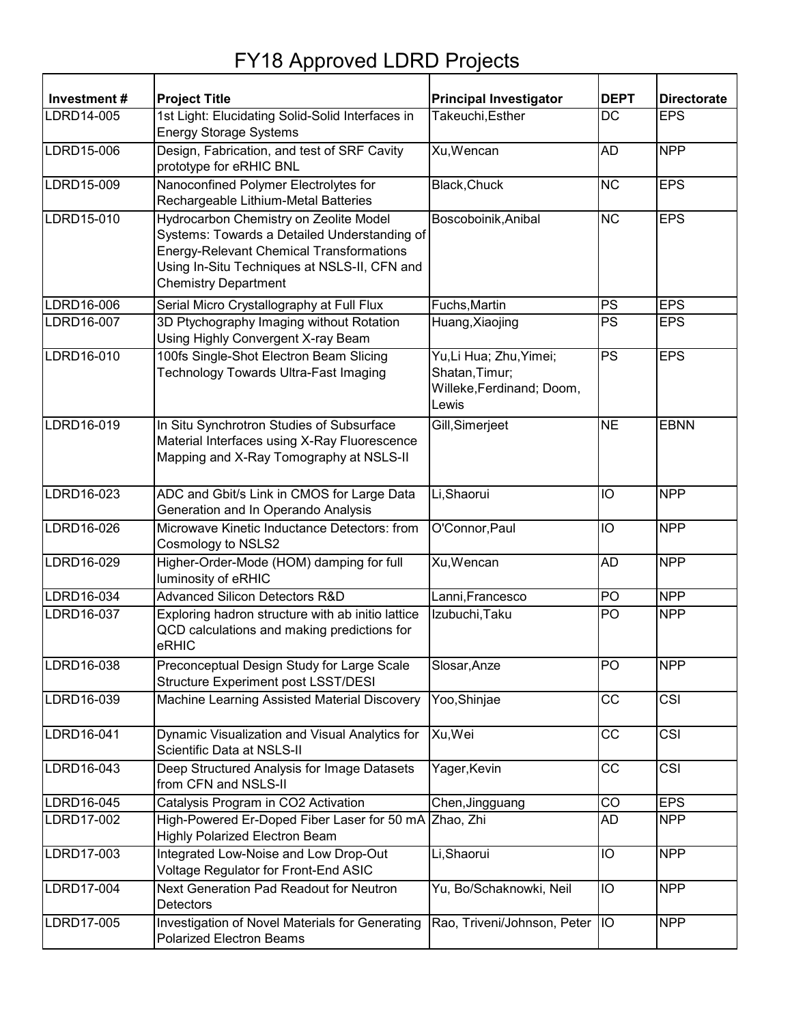## FY18 Approved LDRD Projects

| Investment# | <b>Project Title</b>                                                                                                                                                                                                     | <b>Principal Investigator</b>                                                   | <b>DEPT</b>     | <b>Directorate</b> |
|-------------|--------------------------------------------------------------------------------------------------------------------------------------------------------------------------------------------------------------------------|---------------------------------------------------------------------------------|-----------------|--------------------|
| LDRD14-005  | 1st Light: Elucidating Solid-Solid Interfaces in<br><b>Energy Storage Systems</b>                                                                                                                                        | Takeuchi, Esther                                                                | $\overline{DC}$ | <b>EPS</b>         |
| LDRD15-006  | Design, Fabrication, and test of SRF Cavity<br>prototype for eRHIC BNL                                                                                                                                                   | Xu, Wencan                                                                      | <b>AD</b>       | <b>NPP</b>         |
| LDRD15-009  | Nanoconfined Polymer Electrolytes for<br>Rechargeable Lithium-Metal Batteries                                                                                                                                            | Black, Chuck                                                                    | <b>NC</b>       | <b>EPS</b>         |
| LDRD15-010  | Hydrocarbon Chemistry on Zeolite Model<br>Systems: Towards a Detailed Understanding of<br><b>Energy-Relevant Chemical Transformations</b><br>Using In-Situ Techniques at NSLS-II, CFN and<br><b>Chemistry Department</b> | Boscoboinik, Anibal                                                             | <b>NC</b>       | <b>EPS</b>         |
| LDRD16-006  | Serial Micro Crystallography at Full Flux                                                                                                                                                                                | Fuchs, Martin                                                                   | PS              | <b>EPS</b>         |
| LDRD16-007  | 3D Ptychography Imaging without Rotation<br>Using Highly Convergent X-ray Beam                                                                                                                                           | Huang, Xiaojing                                                                 | <b>PS</b>       | <b>EPS</b>         |
| LDRD16-010  | 100fs Single-Shot Electron Beam Slicing<br>Technology Towards Ultra-Fast Imaging                                                                                                                                         | Yu, Li Hua; Zhu, Yimei;<br>Shatan, Timur;<br>Willeke, Ferdinand; Doom,<br>Lewis | <b>PS</b>       | <b>EPS</b>         |
| LDRD16-019  | In Situ Synchrotron Studies of Subsurface<br>Material Interfaces using X-Ray Fluorescence<br>Mapping and X-Ray Tomography at NSLS-II                                                                                     | Gill, Simerjeet                                                                 | <b>NE</b>       | <b>EBNN</b>        |
| LDRD16-023  | ADC and Gbit/s Link in CMOS for Large Data<br>Generation and In Operando Analysis                                                                                                                                        | Li, Shaorui                                                                     | IO              | <b>NPP</b>         |
| LDRD16-026  | Microwave Kinetic Inductance Detectors: from<br>Cosmology to NSLS2                                                                                                                                                       | O'Connor, Paul                                                                  | IO              | <b>NPP</b>         |
| LDRD16-029  | Higher-Order-Mode (HOM) damping for full<br>luminosity of eRHIC                                                                                                                                                          | Xu, Wencan                                                                      | <b>AD</b>       | <b>NPP</b>         |
| LDRD16-034  | <b>Advanced Silicon Detectors R&amp;D</b>                                                                                                                                                                                | Lanni, Francesco                                                                | $\overline{PQ}$ | <b>NPP</b>         |
| LDRD16-037  | Exploring hadron structure with ab initio lattice<br>QCD calculations and making predictions for<br>eRHIC                                                                                                                | Izubuchi, Taku                                                                  | PO              | <b>NPP</b>         |
| LDRD16-038  | Preconceptual Design Study for Large Scale<br>Structure Experiment post LSST/DESI                                                                                                                                        | Slosar, Anze                                                                    | PO              | <b>NPP</b>         |
| LDRD16-039  | Machine Learning Assisted Material Discovery                                                                                                                                                                             | Yoo,Shinjae                                                                     | CC              | CSI                |
| LDRD16-041  | Dynamic Visualization and Visual Analytics for<br>Scientific Data at NSLS-II                                                                                                                                             | Xu, Wei                                                                         | <b>CC</b>       | <b>CSI</b>         |
| LDRD16-043  | Deep Structured Analysis for Image Datasets<br>from CFN and NSLS-II                                                                                                                                                      | Yager, Kevin                                                                    | СC              | CSI                |
| LDRD16-045  | Catalysis Program in CO2 Activation                                                                                                                                                                                      | Chen, Jingguang                                                                 | CO              | <b>EPS</b>         |
| LDRD17-002  | High-Powered Er-Doped Fiber Laser for 50 mA Zhao, Zhi<br><b>Highly Polarized Electron Beam</b>                                                                                                                           |                                                                                 | AD              | <b>NPP</b>         |
| LDRD17-003  | Integrated Low-Noise and Low Drop-Out<br>Voltage Regulator for Front-End ASIC                                                                                                                                            | Li, Shaorui                                                                     | IO              | <b>NPP</b>         |
| LDRD17-004  | Next Generation Pad Readout for Neutron<br>Detectors                                                                                                                                                                     | Yu, Bo/Schaknowki, Neil                                                         | IO              | <b>NPP</b>         |
| LDRD17-005  | Investigation of Novel Materials for Generating<br><b>Polarized Electron Beams</b>                                                                                                                                       | Rao, Triveni/Johnson, Peter IO                                                  |                 | <b>NPP</b>         |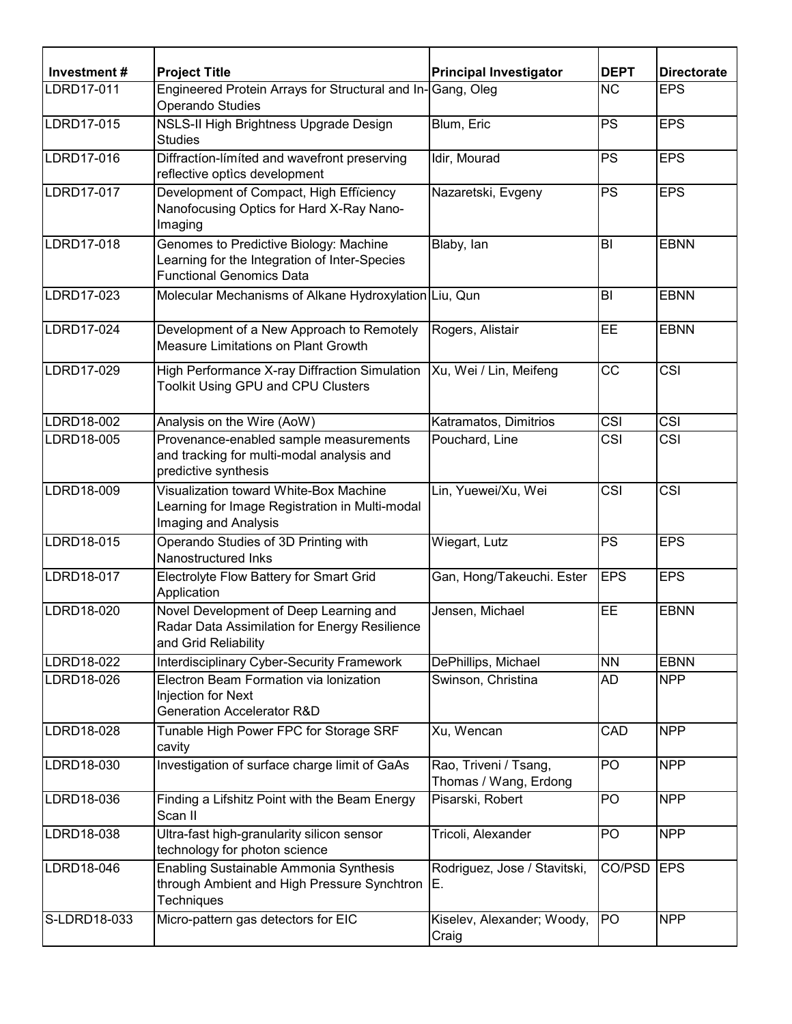| Investment#  | <b>Project Title</b>                                                                                                       | <b>Principal Investigator</b>                  | <b>DEPT</b>              | <b>Directorate</b>      |
|--------------|----------------------------------------------------------------------------------------------------------------------------|------------------------------------------------|--------------------------|-------------------------|
| LDRD17-011   | Engineered Protein Arrays for Structural and In-Gang, Oleg<br>Operando Studies                                             |                                                | <b>NC</b>                | <b>EPS</b>              |
| LDRD17-015   | NSLS-II High Brightness Upgrade Design<br><b>Studies</b>                                                                   | Blum, Eric                                     | $\overline{\mathsf{PS}}$ | <b>EPS</b>              |
| LDRD17-016   | Diffraction-limited and wavefront preserving<br>reflective optics development                                              | Idir, Mourad                                   | <b>PS</b>                | <b>EPS</b>              |
| LDRD17-017   | Development of Compact, High Efficiency<br>Nanofocusing Optics for Hard X-Ray Nano-<br>Imaging                             | Nazaretski, Evgeny                             | <b>PS</b>                | <b>EPS</b>              |
| LDRD17-018   | Genomes to Predictive Biology: Machine<br>Learning for the Integration of Inter-Species<br><b>Functional Genomics Data</b> | Blaby, lan                                     | BI                       | <b>EBNN</b>             |
| LDRD17-023   | Molecular Mechanisms of Alkane Hydroxylation Liu, Qun                                                                      |                                                | BI                       | <b>EBNN</b>             |
| LDRD17-024   | Development of a New Approach to Remotely<br>Measure Limitations on Plant Growth                                           | Rogers, Alistair                               | <b>EE</b>                | <b>EBNN</b>             |
| LDRD17-029   | High Performance X-ray Diffraction Simulation<br>Toolkit Using GPU and CPU Clusters                                        | Xu, Wei / Lin, Meifeng                         | $\overline{cc}$          | $\overline{\text{CSI}}$ |
| LDRD18-002   | Analysis on the Wire (AoW)                                                                                                 | Katramatos, Dimitrios                          | CSI                      | <b>CSI</b>              |
| LDRD18-005   | Provenance-enabled sample measurements<br>and tracking for multi-modal analysis and<br>predictive synthesis                | Pouchard, Line                                 | <b>CSI</b>               | <b>CSI</b>              |
| LDRD18-009   | Visualization toward White-Box Machine<br>Learning for Image Registration in Multi-modal<br>Imaging and Analysis           | Lin, Yuewei/Xu, Wei                            | $\overline{\text{CSI}}$  | $\overline{\text{CSI}}$ |
| LDRD18-015   | Operando Studies of 3D Printing with<br>Nanostructured Inks                                                                | Wiegart, Lutz                                  | <b>PS</b>                | <b>EPS</b>              |
| LDRD18-017   | Electrolyte Flow Battery for Smart Grid<br>Application                                                                     | Gan, Hong/Takeuchi. Ester                      | <b>EPS</b>               | <b>EPS</b>              |
| LDRD18-020   | Novel Development of Deep Learning and<br>Radar Data Assimilation for Energy Resilience<br>and Grid Reliability            | Jensen, Michael                                | EE                       | <b>EBNN</b>             |
| LDRD18-022   | Interdisciplinary Cyber-Security Framework                                                                                 | DePhillips, Michael                            | <b>NN</b>                | <b>EBNN</b>             |
| LDRD18-026   | Electron Beam Formation via lonization<br>Injection for Next<br>Generation Accelerator R&D                                 | Swinson, Christina                             | AD                       | <b>NPP</b>              |
| LDRD18-028   | Tunable High Power FPC for Storage SRF<br>cavity                                                                           | Xu, Wencan                                     | CAD                      | <b>NPP</b>              |
| LDRD18-030   | Investigation of surface charge limit of GaAs                                                                              | Rao, Triveni / Tsang,<br>Thomas / Wang, Erdong | PO                       | <b>NPP</b>              |
| LDRD18-036   | Finding a Lifshitz Point with the Beam Energy<br>Scan II                                                                   | Pisarski, Robert                               | PO.                      | <b>NPP</b>              |
| LDRD18-038   | Ultra-fast high-granularity silicon sensor<br>technology for photon science                                                | Tricoli, Alexander                             | PO                       | <b>NPP</b>              |
| LDRD18-046   | Enabling Sustainable Ammonia Synthesis<br>through Ambient and High Pressure Synchtron<br><b>Techniques</b>                 | Rodriguez, Jose / Stavitski,<br>E.             | CO/PSD                   | <b>EPS</b>              |
| S-LDRD18-033 | Micro-pattern gas detectors for EIC                                                                                        | Kiselev, Alexander; Woody,<br>Craig            | <b>PO</b>                | <b>NPP</b>              |